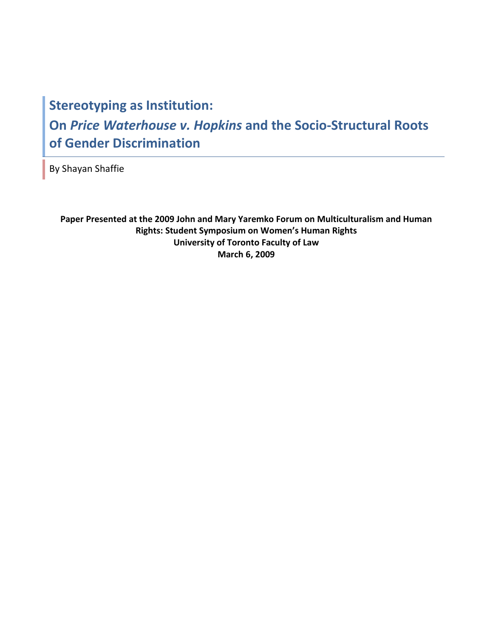# **Stereotyping as Institution: On** *Price Waterhouse v. Hopkins* **and the Socio-Structural Roots of Gender Discrimination**

By Shayan Shaffie

**Paper Presented at the 2009 John and Mary Yaremko Forum on Multiculturalism and Human Rights: Student Symposium on Women's Human Rights University of Toronto Faculty of Law March 6, 2009**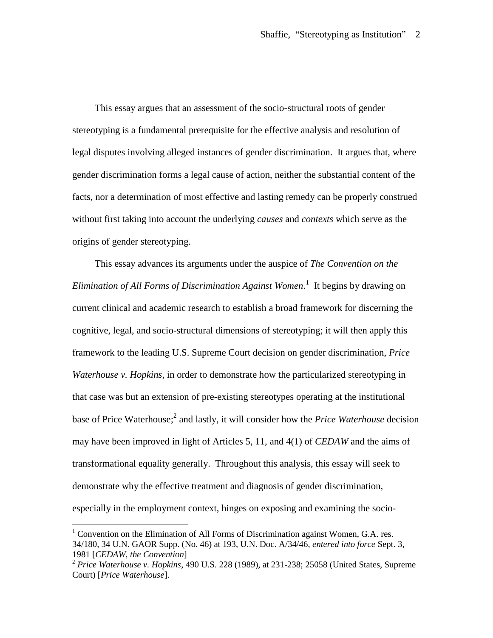This essay argues that an assessment of the socio-structural roots of gender stereotyping is a fundamental prerequisite for the effective analysis and resolution of legal disputes involving alleged instances of gender discrimination. It argues that, where gender discrimination forms a legal cause of action, neither the substantial content of the facts, nor a determination of most effective and lasting remedy can be properly construed without first taking into account the underlying *causes* and *contexts* which serve as the origins of gender stereotyping.

This essay advances its arguments under the auspice of *The Convention on the Elimination of All Forms of Discrimination Against Women*. [1](#page-1-0) It begins by drawing on current clinical and academic research to establish a broad framework for discerning the cognitive, legal, and socio-structural dimensions of stereotyping; it will then apply this framework to the leading U.S. Supreme Court decision on gender discrimination, *Price Waterhouse v. Hopkins*, in order to demonstrate how the particularized stereotyping in that case was but an extension of pre-existing stereotypes operating at the institutional base of Price Waterhouse;<sup>[2](#page-1-1)</sup> and lastly, it will consider how the *Price Waterhouse* decision may have been improved in light of Articles 5, 11, and 4(1) of *CEDAW* and the aims of transformational equality generally. Throughout this analysis, this essay will seek to demonstrate why the effective treatment and diagnosis of gender discrimination, especially in the employment context, hinges on exposing and examining the socio-

<span id="page-1-0"></span> $1$  Convention on the Elimination of All Forms of Discrimination against Women, G.A. res. 34/180, 34 U.N. GAOR Supp. (No. 46) at 193, U.N. Doc. A/34/46, *entered into force* Sept. 3, 1981 [*CEDAW*, *the Convention*]

<span id="page-1-1"></span><sup>2</sup> *Price Waterhouse v. Hopkins*, 490 U.S. 228 (1989), at 231-238; 25058 (United States, Supreme Court) [*Price Waterhouse*].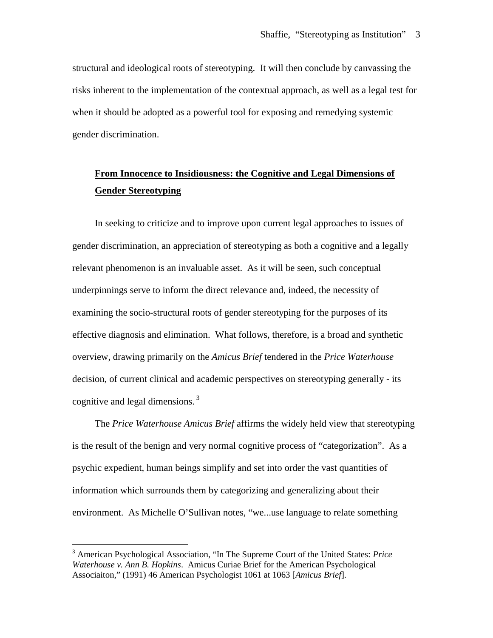structural and ideological roots of stereotyping. It will then conclude by canvassing the risks inherent to the implementation of the contextual approach, as well as a legal test for when it should be adopted as a powerful tool for exposing and remedying systemic gender discrimination.

# **From Innocence to Insidiousness: the Cognitive and Legal Dimensions of Gender Stereotyping**

In seeking to criticize and to improve upon current legal approaches to issues of gender discrimination, an appreciation of stereotyping as both a cognitive and a legally relevant phenomenon is an invaluable asset. As it will be seen, such conceptual underpinnings serve to inform the direct relevance and, indeed, the necessity of examining the socio-structural roots of gender stereotyping for the purposes of its effective diagnosis and elimination. What follows, therefore, is a broad and synthetic overview, drawing primarily on the *Amicus Brief* tendered in the *Price Waterhouse* decision, of current clinical and academic perspectives on stereotyping generally - its cognitive and legal dimensions.<sup>[3](#page-2-0)</sup>

The *Price Waterhouse Amicus Brief* affirms the widely held view that stereotyping is the result of the benign and very normal cognitive process of "categorization". As a psychic expedient, human beings simplify and set into order the vast quantities of information which surrounds them by categorizing and generalizing about their environment. As Michelle O'Sullivan notes, "we...use language to relate something

<span id="page-2-0"></span><sup>3</sup> American Psychological Association, "In The Supreme Court of the United States: *Price Waterhouse v. Ann B. Hopkins*. Amicus Curiae Brief for the American Psychological Associaiton," (1991) 46 American Psychologist 1061 at 1063 [*Amicus Brief*].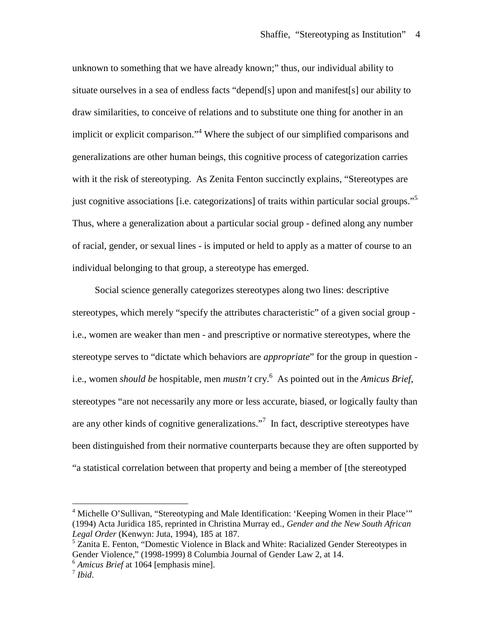unknown to something that we have already known;" thus, our individual ability to situate ourselves in a sea of endless facts "depend[s] upon and manifest[s] our ability to draw similarities, to conceive of relations and to substitute one thing for another in an implicit or explicit comparison.["](#page-3-0)<sup>4</sup> Where the subject of our simplified comparisons and generalizations are other human beings, this cognitive process of categorization carries with it the risk of stereotyping. As Zenita Fenton succinctly explains, "Stereotypes are just cognitive associations [i.e. categorizations] of traits within particular social groups."<sup>[5](#page-3-1)</sup> Thus, where a generalization about a particular social group - defined along any number of racial, gender, or sexual lines - is imputed or held to apply as a matter of course to an individual belonging to that group, a stereotype has emerged.

Social science generally categorizes stereotypes along two lines: descriptive stereotypes, which merely "specify the attributes characteristic" of a given social group i.e., women are weaker than men - and prescriptive or normative stereotypes, where the stereotype serves to "dictate which behaviors are *appropriate*" for the group in question i.e., women *should be* hospitable, men *mustn't* cry.[6](#page-3-2) As pointed out in the *Amicus Brief*, stereotypes "are not necessarily any more or less accurate, biased, or logically faulty than are any other kinds of cognitive generalizations."<sup>[7](#page-3-3)</sup> In fact, descriptive stereotypes have been distinguished from their normative counterparts because they are often supported by "a statistical correlation between that property and being a member of [the stereotyped

<span id="page-3-0"></span><sup>&</sup>lt;sup>4</sup> Michelle O'Sullivan, "Stereotyping and Male Identification: 'Keeping Women in their Place'" (1994) Acta Juridica 185, reprinted in Christina Murray ed., *Gender and the New South African Legal Order* (Kenwyn: Juta, 1994), 185 at 187.

<span id="page-3-1"></span><sup>&</sup>lt;sup>5</sup> Zanita E. Fenton, "Domestic Violence in Black and White: Racialized Gender Stereotypes in Gender Violence," (1998-1999) 8 Columbia Journal of Gender Law 2, at 14.

<span id="page-3-3"></span><span id="page-3-2"></span><sup>6</sup> *Amicus Brief* at 1064 [emphasis mine].

<sup>7</sup> *Ibid*.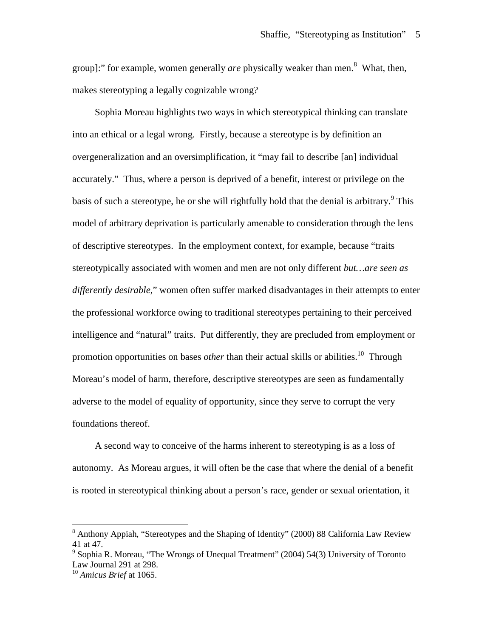group]:"for example, women generally *are* physically weaker than men[.](#page-4-0)<sup>8</sup> What, then, makes stereotyping a legally cognizable wrong?

Sophia Moreau highlights two ways in which stereotypical thinking can translate into an ethical or a legal wrong. Firstly, because a stereotype is by definition an overgeneralization and an oversimplification, it "may fail to describe [an] individual accurately." Thus, where a person is deprived of a benefit, interest or privilege on the basis of such a stereotype, he or she will rightfully hold that the denial is arbitrary.<sup>[9](#page-4-1)</sup> This model of arbitrary deprivation is particularly amenable to consideration through the lens of descriptive stereotypes. In the employment context, for example, because "traits stereotypically associated with women and men are not only different *but…are seen as differently desirable*," women often suffer marked disadvantages in their attempts to enter the professional workforce owing to traditional stereotypes pertaining to their perceived intelligence and "natural" traits. Put differently, they are precluded from employment or promotion opportunities on bases *other* than their actual skills or abilities.<sup>[10](#page-4-2)</sup> Through Moreau's model of harm, therefore, descriptive stereotypes are seen as fundamentally adverse to the model of equality of opportunity, since they serve to corrupt the very foundations thereof.

A second way to conceive of the harms inherent to stereotyping is as a loss of autonomy. As Moreau argues, it will often be the case that where the denial of a benefit is rooted in stereotypical thinking about a person's race, gender or sexual orientation, it

<span id="page-4-0"></span><sup>8</sup> Anthony Appiah, "Stereotypes and the Shaping of Identity" (2000) 88 California Law Review 41 at 47.

<span id="page-4-1"></span><sup>&</sup>lt;sup>9</sup> Sophia R. Moreau, "The Wrongs of Unequal Treatment" (2004) 54(3) University of Toronto Law Journal 291 at 298.

<span id="page-4-2"></span><sup>10</sup> *Amicus Brief* at 1065.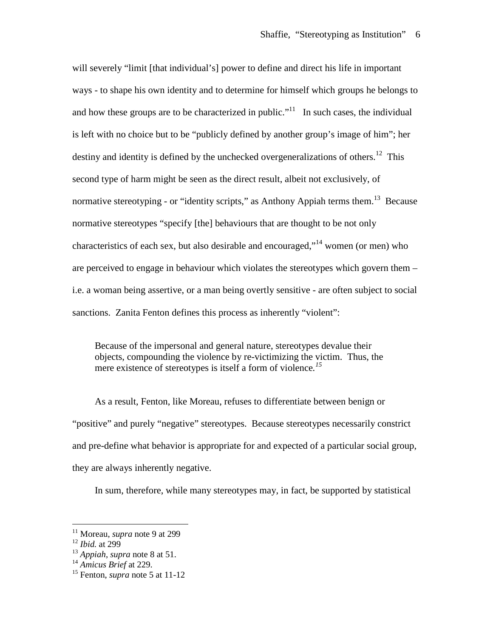will severely "limit [that individual's] power to define and direct his life in important ways - to shape his own identity and to determine for himself which groups he belongs to and how these groups are to be characterized in public."<sup>[11](#page-5-0)</sup> In such cases, the individual is left with no choice but to be "publicly defined by another group's image of him"; her destiny and identity is defined by the unchecked overgeneralizations of others.<sup>[12](#page-5-1)</sup> This second type of harm might be seen as the direct result, albeit not exclusively, of normative stereotyping - or "identity scripts," as Anthony Appiah terms them.<sup>[13](#page-5-2)</sup> Because normative stereotypes "specify [the] behaviours that are thought to be not only characteristics of each sex, but also desirable and encouraged,"<sup>[14](#page-5-3)</sup> women (or men) who are perceived to engage in behaviour which violates the stereotypes which govern them – i.e. a woman being assertive, or a man being overtly sensitive - are often subject to social sanctions. Zanita Fenton defines this process as inherently "violent":

Because of the impersonal and general nature, stereotypes devalue their objects, compounding the violence by re-victimizing the victim. Thus, the mere existence of stereotypes is itself a form of violence*. [15](#page-5-4)*

As a result, Fenton, like Moreau, refuses to differentiate between benign or "positive" and purely "negative" stereotypes. Because stereotypes necessarily constrict and pre-define what behavior is appropriate for and expected of a particular social group, they are always inherently negative.

In sum, therefore, while many stereotypes may, in fact, be supported by statistical

<span id="page-5-0"></span><sup>&</sup>lt;sup>11</sup> Moreau, *supra* note 9 at 299

<span id="page-5-1"></span><sup>12</sup> *Ibid.* at 299

<span id="page-5-3"></span><span id="page-5-2"></span><sup>13</sup> *Appiah*, *supra* note 8 at 51.

<sup>14</sup> *Amicus Brief* at 229.

<span id="page-5-4"></span><sup>15</sup> Fenton, *supra* note 5 at 11-12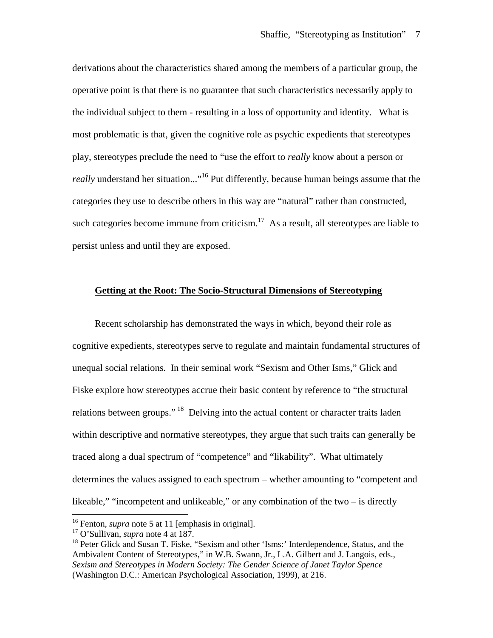derivations about the characteristics shared among the members of a particular group, the operative point is that there is no guarantee that such characteristics necessarily apply to the individual subject to them - resulting in a loss of opportunity and identity. What is most problematic is that, given the cognitive role as psychic expedients that stereotypes play, stereotypes preclude the need to "use the effort to *really* know about a person or *really* understand her situation..."<sup>[16](#page-6-0)</sup> Put differently, because human beings assume that the categories they use to describe others in this way are "natural" rather than constructed, such categories become immune from criticism.<sup>[17](#page-6-1)</sup> As a result, all stereotypes are liable to persist unless and until they are exposed.

### **Getting at the Root: The Socio-Structural Dimensions of Stereotyping**

Recent scholarship has demonstrated the ways in which, beyond their role as cognitive expedients, stereotypes serve to regulate and maintain fundamental structures of unequal social relations. In their seminal work "Sexism and Other Isms," Glick and Fiske explore how stereotypes accrue their basic content by reference to "the structural relations between groups."<sup>[18](#page-6-2)</sup> Delving into the actual content or character traits laden within descriptive and normative stereotypes, they argue that such traits can generally be traced along a dual spectrum of "competence" and "likability". What ultimately determines the values assigned to each spectrum – whether amounting to "competent and likeable," "incompetent and unlikeable," or any combination of the two – is directly

<span id="page-6-0"></span><sup>&</sup>lt;sup>16</sup> Fenton, *supra* note 5 at 11 [emphasis in original].

<span id="page-6-1"></span><sup>17</sup> O'Sullivan, *supra* note 4 at 187.

<span id="page-6-2"></span><sup>&</sup>lt;sup>18</sup> Peter Glick and Susan T. Fiske, "Sexism and other 'Isms:' Interdependence, Status, and the Ambivalent Content of Stereotypes," in W.B. Swann, Jr., L.A. Gilbert and J. Langois, eds., *Sexism and Stereotypes in Modern Society: The Gender Science of Janet Taylor Spence* (Washington D.C.: American Psychological Association, 1999), at 216.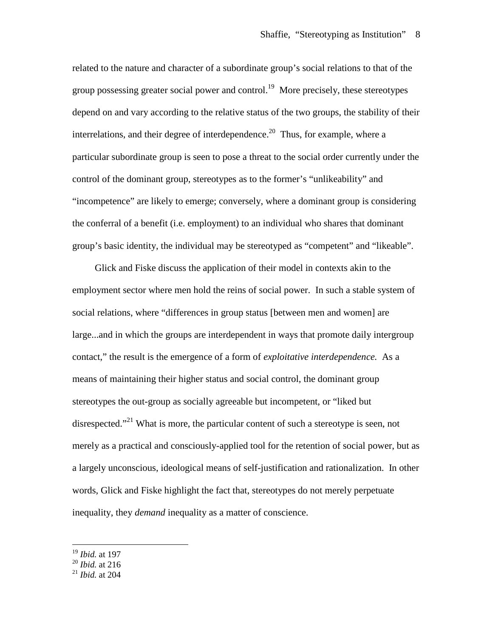related to the nature and character of a subordinate group's social relations to that of the group possessing greater social power and control.<sup>[19](#page-7-0)</sup> More precisely, these stereotypes depend on and vary according to the relative status of the two groups, the stability of their interrelations, and their degree of interdependence.<sup>[20](#page-7-1)</sup> Thus, for example, where a particular subordinate group is seen to pose a threat to the social order currently under the control of the dominant group, stereotypes as to the former's "unlikeability" and "incompetence" are likely to emerge; conversely, where a dominant group is considering the conferral of a benefit (i.e. employment) to an individual who shares that dominant group's basic identity, the individual may be stereotyped as "competent" and "likeable".

Glick and Fiske discuss the application of their model in contexts akin to the employment sector where men hold the reins of social power. In such a stable system of social relations, where "differences in group status [between men and women] are large...and in which the groups are interdependent in ways that promote daily intergroup contact," the result is the emergence of a form of *exploitative interdependence.* As a means of maintaining their higher status and social control, the dominant group stereotypes the out-group as socially agreeable but incompetent, or "liked but disrespected."<sup>[21](#page-7-2)</sup> What is more, the particular content of such a stereotype is seen, not merely as a practical and consciously-applied tool for the retention of social power, but as a largely unconscious, ideological means of self-justification and rationalization. In other words, Glick and Fiske highlight the fact that, stereotypes do not merely perpetuate inequality, they *demand* inequality as a matter of conscience.

<span id="page-7-0"></span><sup>19</sup> *Ibid.* at 197

<span id="page-7-1"></span><sup>20</sup> *Ibid.* at 216

<span id="page-7-2"></span><sup>21</sup> *Ibid.* at 204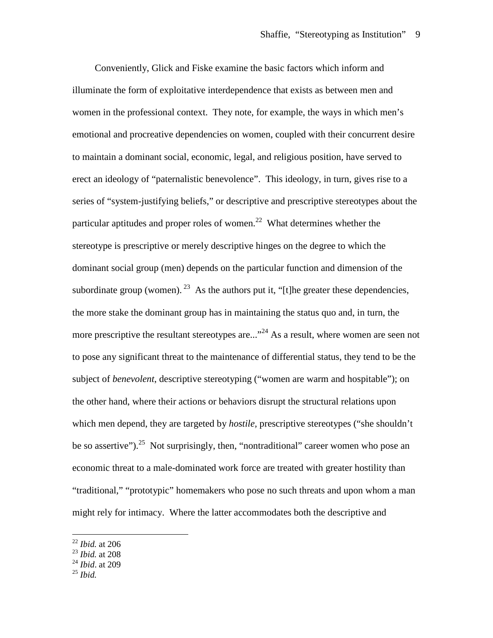Conveniently, Glick and Fiske examine the basic factors which inform and illuminate the form of exploitative interdependence that exists as between men and women in the professional context. They note, for example, the ways in which men's emotional and procreative dependencies on women, coupled with their concurrent desire to maintain a dominant social, economic, legal, and religious position, have served to erect an ideology of "paternalistic benevolence". This ideology, in turn, gives rise to a series of "system-justifying beliefs," or descriptive and prescriptive stereotypes about the particular aptitudes and proper roles of women.<sup>[22](#page-8-0)</sup> What determines whether the stereotype is prescriptive or merely descriptive hinges on the degree to which the dominant social group (men) depends on the particular function and dimension of the subordinate group (women). <sup>[23](#page-8-1)</sup> As the authors put it, "[t]he greater these dependencies, the more stake the dominant group has in maintaining the status quo and, in turn, the more prescriptive the resultant stereotypes are..."<sup>[24](#page-8-2)</sup> As a result, where women are seen not to pose any significant threat to the maintenance of differential status, they tend to be the subject of *benevolent*, descriptive stereotyping ("women are warm and hospitable"); on the other hand, where their actions or behaviors disrupt the structural relations upon which men depend, they are targeted by *hostile,* prescriptive stereotypes ("she shouldn't be so assertive").<sup>[25](#page-8-3)</sup> Not surprisingly, then, "nontraditional" career women who pose an economic threat to a male-dominated work force are treated with greater hostility than "traditional," "prototypic" homemakers who pose no such threats and upon whom a man might rely for intimacy. Where the latter accommodates both the descriptive and

<span id="page-8-3"></span><sup>25</sup> *Ibid.*

<span id="page-8-0"></span><sup>22</sup> *Ibid.* at 206

<span id="page-8-1"></span><sup>23</sup> *Ibid.* at 208

<span id="page-8-2"></span><sup>24</sup> *Ibid*. at 209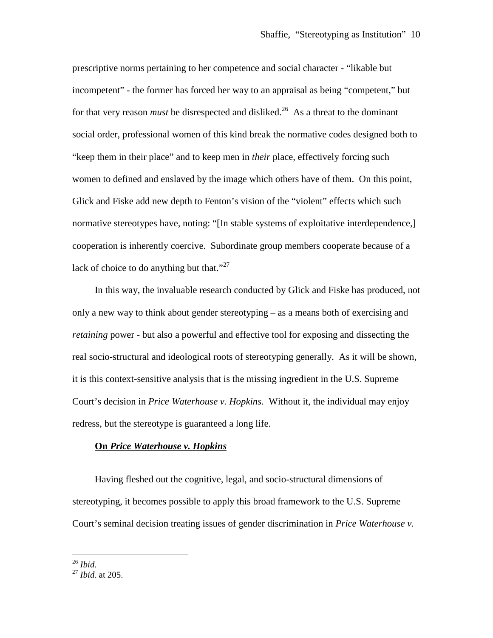prescriptive norms pertaining to her competence and social character - "likable but incompetent" - the former has forced her way to an appraisal as being "competent," but for that very reason *must* be disrespected and disliked.<sup>[26](#page-9-0)</sup> As a threat to the dominant social order, professional women of this kind break the normative codes designed both to "keep them in their place" and to keep men in *their* place, effectively forcing such women to defined and enslaved by the image which others have of them. On this point, Glick and Fiske add new depth to Fenton's vision of the "violent" effects which such normative stereotypes have, noting: "[In stable systems of exploitative interdependence,] cooperation is inherently coercive. Subordinate group members cooperate because of a lack of choice to do anything but that." $27$ 

In this way, the invaluable research conducted by Glick and Fiske has produced, not only a new way to think about gender stereotyping – as a means both of exercising and *retaining* power - but also a powerful and effective tool for exposing and dissecting the real socio-structural and ideological roots of stereotyping generally. As it will be shown, it is this context-sensitive analysis that is the missing ingredient in the U.S. Supreme Court's decision in *Price Waterhouse v. Hopkins*. Without it, the individual may enjoy redress, but the stereotype is guaranteed a long life.

#### **On** *Price Waterhouse v. Hopkins*

Having fleshed out the cognitive, legal, and socio-structural dimensions of stereotyping, it becomes possible to apply this broad framework to the U.S. Supreme Court's seminal decision treating issues of gender discrimination in *Price Waterhouse v.*

<span id="page-9-0"></span><sup>26</sup> *Ibid.*

<span id="page-9-1"></span><sup>27</sup> *Ibid*. at 205.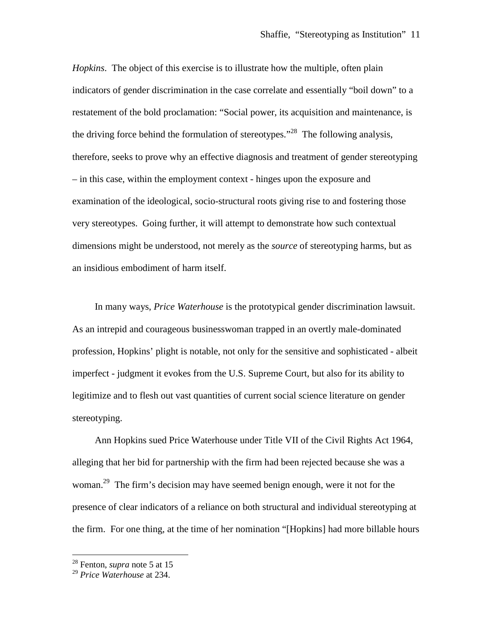*Hopkins*. The object of this exercise is to illustrate how the multiple, often plain indicators of gender discrimination in the case correlate and essentially "boil down" to a restatement of the bold proclamation: "Social power, its acquisition and maintenance, is the driving force behind the formulation of stereotypes."<sup>[28](#page-10-0)</sup> The following analysis, therefore, seeks to prove why an effective diagnosis and treatment of gender stereotyping – in this case, within the employment context - hinges upon the exposure and examination of the ideological, socio-structural roots giving rise to and fostering those very stereotypes. Going further, it will attempt to demonstrate how such contextual dimensions might be understood, not merely as the *source* of stereotyping harms, but as an insidious embodiment of harm itself.

In many ways, *Price Waterhouse* is the prototypical gender discrimination lawsuit. As an intrepid and courageous businesswoman trapped in an overtly male-dominated profession, Hopkins' plight is notable, not only for the sensitive and sophisticated - albeit imperfect - judgment it evokes from the U.S. Supreme Court, but also for its ability to legitimize and to flesh out vast quantities of current social science literature on gender stereotyping.

Ann Hopkins sued Price Waterhouse under Title VII of the Civil Rights Act 1964, alleging that her bid for partnership with the firm had been rejected because she was a woman.<sup>[29](#page-10-1)</sup> The firm's decision may have seemed benign enough, were it not for the presence of clear indicators of a reliance on both structural and individual stereotyping at the firm. For one thing, at the time of her nomination "[Hopkins] had more billable hours

<span id="page-10-0"></span><sup>28</sup> Fenton, *supra* note 5 at 15

<span id="page-10-1"></span><sup>29</sup> *Price Waterhouse* at 234.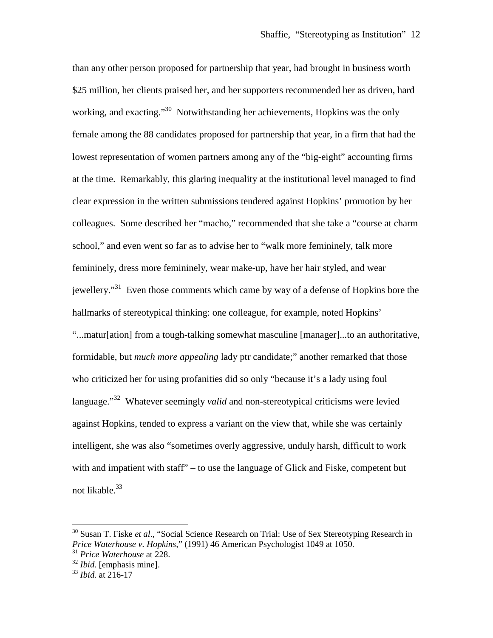than any other person proposed for partnership that year, had brought in business worth \$25 million, her clients praised her, and her supporters recommended her as driven, hard working, and exacting."<sup>[30](#page-11-0)</sup> Notwithstanding her achievements, Hopkins was the only female among the 88 candidates proposed for partnership that year, in a firm that had the lowest representation of women partners among any of the "big-eight" accounting firms at the time. Remarkably, this glaring inequality at the institutional level managed to find clear expression in the written submissions tendered against Hopkins' promotion by her colleagues. Some described her "macho," recommended that she take a "course at charm school," and even went so far as to advise her to "walk more femininely, talk more femininely, dress more femininely, wear make-up, have her hair styled, and wear jewellery."<sup>[31](#page-11-1)</sup> Even those comments which came by way of a defense of Hopkins bore the hallmarks of stereotypical thinking: one colleague, for example, noted Hopkins' "...matur[ation] from a tough-talking somewhat masculine [manager]...to an authoritative, formidable, but *much more appealing* lady ptr candidate;" another remarked that those who criticized her for using profanities did so only "because it's a lady using foul language." [32](#page-11-2) Whatever seemingly *valid* and non-stereotypical criticisms were levied against Hopkins, tended to express a variant on the view that, while she was certainly intelligent, she was also "sometimes overly aggressive, unduly harsh, difficult to work with and impatient with staff" – to use the language of Glick and Fiske, competent but not likable. [33](#page-11-3)

<span id="page-11-0"></span><sup>30</sup> Susan T. Fiske *et al*., "Social Science Research on Trial: Use of Sex Stereotyping Research in *Price Waterhouse v. Hopkins,*" (1991) 46 American Psychologist 1049 at 1050.

<span id="page-11-1"></span><sup>31</sup> *Price Waterhouse* at 228.

<span id="page-11-3"></span><span id="page-11-2"></span><sup>32</sup> *Ibid.* [emphasis mine].

<sup>33</sup> *Ibid.* at 216-17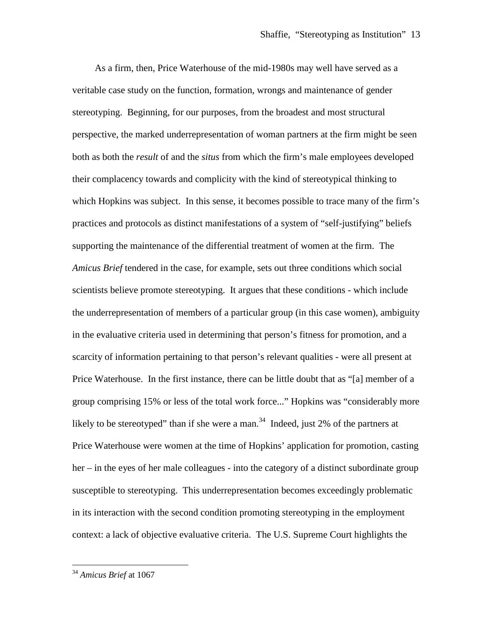As a firm, then, Price Waterhouse of the mid-1980s may well have served as a veritable case study on the function, formation, wrongs and maintenance of gender stereotyping. Beginning, for our purposes, from the broadest and most structural perspective, the marked underrepresentation of woman partners at the firm might be seen both as both the *result* of and the *situs* from which the firm's male employees developed their complacency towards and complicity with the kind of stereotypical thinking to which Hopkins was subject. In this sense, it becomes possible to trace many of the firm's practices and protocols as distinct manifestations of a system of "self-justifying" beliefs supporting the maintenance of the differential treatment of women at the firm. The *Amicus Brief* tendered in the case, for example, sets out three conditions which social scientists believe promote stereotyping. It argues that these conditions - which include the underrepresentation of members of a particular group (in this case women), ambiguity in the evaluative criteria used in determining that person's fitness for promotion, and a scarcity of information pertaining to that person's relevant qualities - were all present at Price Waterhouse. In the first instance, there can be little doubt that as "[a] member of a group comprising 15% or less of the total work force..." Hopkins was "considerably more likelyto be stereotyped" than if she were a man[.](#page-12-0)<sup>34</sup> Indeed, just 2% of the partners at Price Waterhouse were women at the time of Hopkins' application for promotion, casting her – in the eyes of her male colleagues - into the category of a distinct subordinate group susceptible to stereotyping. This underrepresentation becomes exceedingly problematic in its interaction with the second condition promoting stereotyping in the employment context: a lack of objective evaluative criteria. The U.S. Supreme Court highlights the

<span id="page-12-0"></span><sup>34</sup> *Amicus Brief* at 1067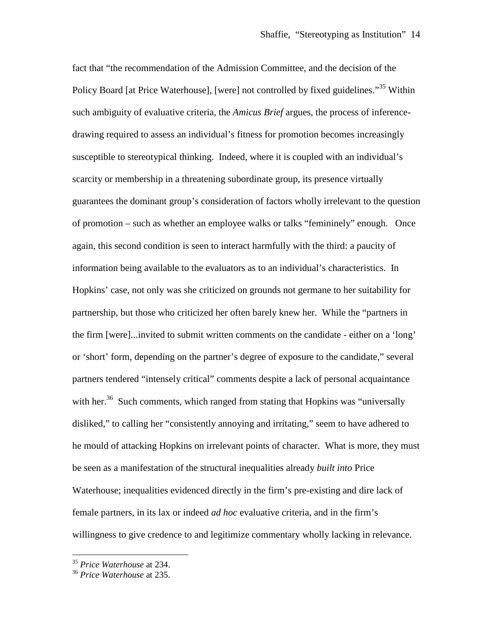fact that "the recommendation of the Admission Committee, and the decision of the Policy Board [at Price Waterhouse], [were] not controlled by fixed guidelines."<sup>[35](#page-13-0)</sup> Within such ambiguity of evaluative criteria, the *Amicus Brief* argues, the process of inferencedrawing required to assess an individual's fitness for promotion becomes increasingly susceptible to stereotypical thinking. Indeed, where it is coupled with an individual's scarcity or membership in a threatening subordinate group, its presence virtually guarantees the dominant group's consideration of factors wholly irrelevant to the question of promotion – such as whether an employee walks or talks "femininely" enough. Once again, this second condition is seen to interact harmfully with the third: a paucity of information being available to the evaluators as to an individual's characteristics. In Hopkins' case, not only was she criticized on grounds not germane to her suitability for partnership, but those who criticized her often barely knew her. While the "partners in the firm [were]...invited to submit written comments on the candidate - either on a 'long' or 'short' form, depending on the partner's degree of exposure to the candidate," several partners tendered "intensely critical" comments despite a lack of personal acquaintance withher[.](#page-13-1) $36$  Such comments, which ranged from stating that Hopkins was "universally disliked," to calling her "consistently annoying and irritating," seem to have adhered to he mould of attacking Hopkins on irrelevant points of character. What is more, they must be seen as a manifestation of the structural inequalities already *built into* Price Waterhouse; inequalities evidenced directly in the firm's pre-existing and dire lack of female partners, in its lax or indeed *ad hoc* evaluative criteria, and in the firm's willingness to give credence to and legitimize commentary wholly lacking in relevance.

<span id="page-13-1"></span><span id="page-13-0"></span><sup>35</sup> *Price Waterhouse* at 234.

<sup>36</sup> *Price Waterhouse* at 235.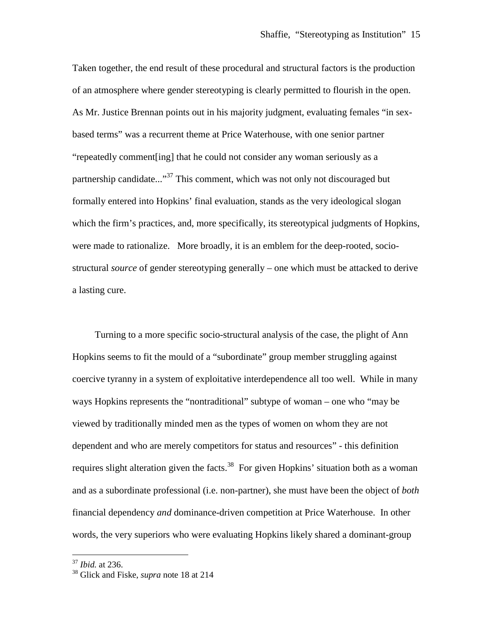Taken together, the end result of these procedural and structural factors is the production of an atmosphere where gender stereotyping is clearly permitted to flourish in the open. As Mr. Justice Brennan points out in his majority judgment, evaluating females "in sexbased terms" was a recurrent theme at Price Waterhouse, with one senior partner "repeatedly comment[ing] that he could not consider any woman seriously as a partnership candidate..."<sup>[37](#page-14-0)</sup> This comment, which was not only not discouraged but formally entered into Hopkins' final evaluation, stands as the very ideological slogan which the firm's practices, and, more specifically, its stereotypical judgments of Hopkins, were made to rationalize. More broadly, it is an emblem for the deep-rooted, sociostructural *source* of gender stereotyping generally – one which must be attacked to derive a lasting cure.

Turning to a more specific socio-structural analysis of the case, the plight of Ann Hopkins seems to fit the mould of a "subordinate" group member struggling against coercive tyranny in a system of exploitative interdependence all too well. While in many ways Hopkins represents the "nontraditional" subtype of woman – one who "may be viewed by traditionally minded men as the types of women on whom they are not dependent and who are merely competitors for status and resources" - this definition requiresslight alteration given the facts.<sup>38</sup> For given Hopkins' situation both as a woman and as a subordinate professional (i.e. non-partner), she must have been the object of *both* financial dependency *and* dominance-driven competition at Price Waterhouse. In other words, the very superiors who were evaluating Hopkins likely shared a dominant-group

<span id="page-14-0"></span><sup>37</sup> *Ibid.* at 236.

<span id="page-14-1"></span><sup>38</sup> Glick and Fiske, *supra* note 18 at 214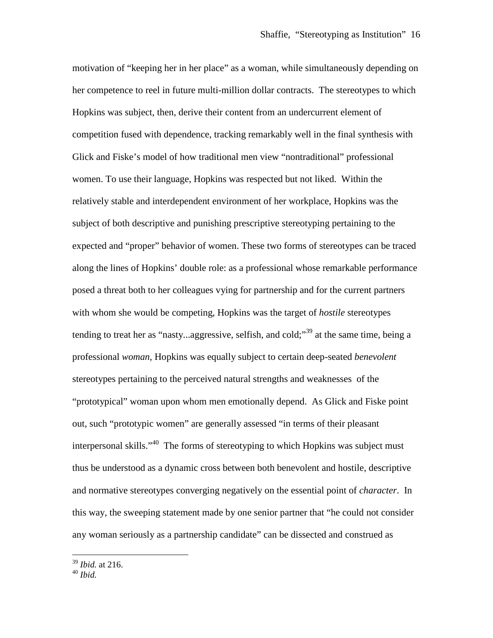motivation of "keeping her in her place" as a woman, while simultaneously depending on her competence to reel in future multi-million dollar contracts. The stereotypes to which Hopkins was subject, then, derive their content from an undercurrent element of competition fused with dependence, tracking remarkably well in the final synthesis with Glick and Fiske's model of how traditional men view "nontraditional" professional women. To use their language, Hopkins was respected but not liked. Within the relatively stable and interdependent environment of her workplace, Hopkins was the subject of both descriptive and punishing prescriptive stereotyping pertaining to the expected and "proper" behavior of women. These two forms of stereotypes can be traced along the lines of Hopkins' double role: as a professional whose remarkable performance posed a threat both to her colleagues vying for partnership and for the current partners with whom she would be competing, Hopkins was the target of *hostile* stereotypes tending to treat her as "nasty...aggressive, selfish, and cold;"<sup>[39](#page-15-0)</sup> at the same time, being a professional *woman,* Hopkins was equally subject to certain deep-seated *benevolent* stereotypes pertaining to the perceived natural strengths and weaknesses of the "prototypical" woman upon whom men emotionally depend. As Glick and Fiske point out, such "prototypic women" are generally assessed "in terms of their pleasant interpersonal skills." [40](#page-15-1) The forms of stereotyping to which Hopkins was subject must thus be understood as a dynamic cross between both benevolent and hostile, descriptive and normative stereotypes converging negatively on the essential point of *character*. In this way, the sweeping statement made by one senior partner that "he could not consider any woman seriously as a partnership candidate" can be dissected and construed as

<span id="page-15-0"></span><sup>39</sup> *Ibid.* at 216.

<span id="page-15-1"></span><sup>40</sup> *Ibid.*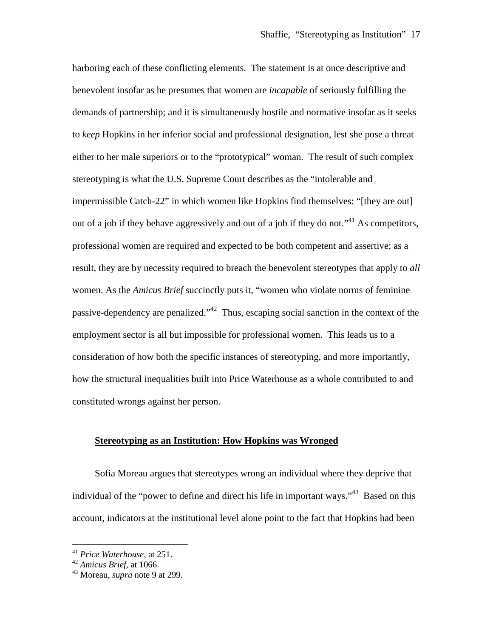harboring each of these conflicting elements. The statement is at once descriptive and benevolent insofar as he presumes that women are *incapable* of seriously fulfilling the demands of partnership; and it is simultaneously hostile and normative insofar as it seeks to *keep* Hopkins in her inferior social and professional designation, lest she pose a threat either to her male superiors or to the "prototypical" woman. The result of such complex stereotyping is what the U.S. Supreme Court describes as the "intolerable and impermissible Catch-22" in which women like Hopkins find themselves: "[they are out] outof a job if they behave aggressively and out of a job if they do not.<sup> $1,41$ </sup> As competitors, professional women are required and expected to be both competent and assertive; as a result, they are by necessity required to breach the benevolent stereotypes that apply to *all* women. As the *Amicus Brief* succinctly puts it, "women who violate norms of feminine passive-dependency are penalized."<sup>[42](#page-16-1)</sup> Thus, escaping social sanction in the context of the employment sector is all but impossible for professional women. This leads us to a consideration of how both the specific instances of stereotyping, and more importantly, how the structural inequalities built into Price Waterhouse as a whole contributed to and constituted wrongs against her person.

#### **Stereotyping as an Institution: How Hopkins was Wronged**

Sofia Moreau argues that stereotypes wrong an individual where they deprive that individual of the "power to define and direct his life in important ways."<sup>[43](#page-16-2)</sup> Based on this account, indicators at the institutional level alone point to the fact that Hopkins had been

<span id="page-16-0"></span><sup>41</sup> *Price Waterhouse*, at 251.

<span id="page-16-1"></span><sup>42</sup> *Amicus Brief,* at 1066.

<span id="page-16-2"></span><sup>43</sup> Moreau, *supra* note 9 at 299.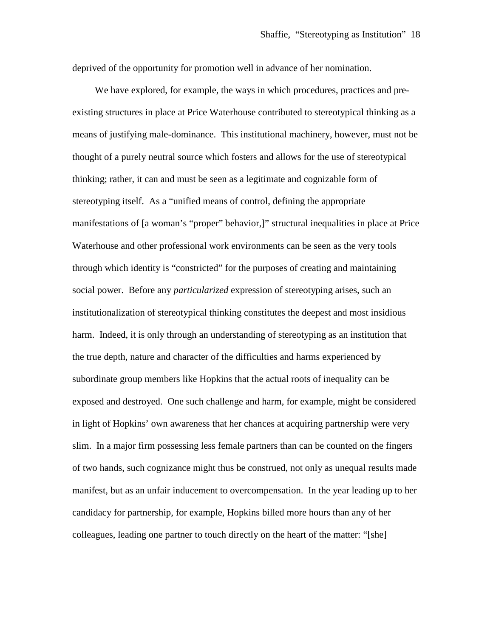deprived of the opportunity for promotion well in advance of her nomination.

We have explored, for example, the ways in which procedures, practices and preexisting structures in place at Price Waterhouse contributed to stereotypical thinking as a means of justifying male-dominance. This institutional machinery, however, must not be thought of a purely neutral source which fosters and allows for the use of stereotypical thinking; rather, it can and must be seen as a legitimate and cognizable form of stereotyping itself. As a "unified means of control, defining the appropriate manifestations of [a woman's "proper" behavior,]" structural inequalities in place at Price Waterhouse and other professional work environments can be seen as the very tools through which identity is "constricted" for the purposes of creating and maintaining social power. Before any *particularized* expression of stereotyping arises, such an institutionalization of stereotypical thinking constitutes the deepest and most insidious harm. Indeed, it is only through an understanding of stereotyping as an institution that the true depth, nature and character of the difficulties and harms experienced by subordinate group members like Hopkins that the actual roots of inequality can be exposed and destroyed. One such challenge and harm, for example, might be considered in light of Hopkins' own awareness that her chances at acquiring partnership were very slim. In a major firm possessing less female partners than can be counted on the fingers of two hands, such cognizance might thus be construed, not only as unequal results made manifest, but as an unfair inducement to overcompensation. In the year leading up to her candidacy for partnership, for example, Hopkins billed more hours than any of her colleagues, leading one partner to touch directly on the heart of the matter: "[she]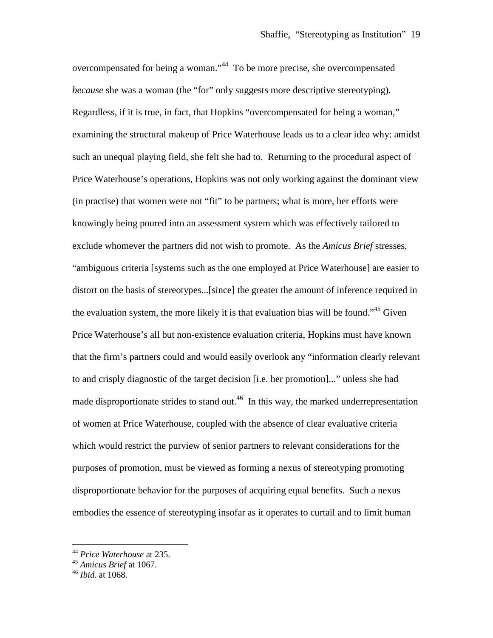overcompensated for being a woman."<sup>[44](#page-18-0)</sup> To be more precise, she overcompensated *because* she was a woman (the "for" only suggests more descriptive stereotyping). Regardless, if it is true, in fact, that Hopkins "overcompensated for being a woman," examining the structural makeup of Price Waterhouse leads us to a clear idea why: amidst such an unequal playing field, she felt she had to. Returning to the procedural aspect of Price Waterhouse's operations, Hopkins was not only working against the dominant view (in practise) that women were not "fit" to be partners; what is more, her efforts were knowingly being poured into an assessment system which was effectively tailored to exclude whomever the partners did not wish to promote. As the *Amicus Brief* stresses, "ambiguous criteria [systems such as the one employed at Price Waterhouse] are easier to distort on the basis of stereotypes...[since] the greater the amount of inference required in the evaluation system, the more likely it is that evaluation bias will be found."<sup>[45](#page-18-1)</sup> Given Price Waterhouse's all but non-existence evaluation criteria, Hopkins must have known that the firm's partners could and would easily overlook any "information clearly relevant to and crisply diagnostic of the target decision [i.e. her promotion]..." unless she had madedisproportionate strides to stand out.<sup>46</sup> In this way, the marked underrepresentation of women at Price Waterhouse, coupled with the absence of clear evaluative criteria which would restrict the purview of senior partners to relevant considerations for the purposes of promotion, must be viewed as forming a nexus of stereotyping promoting disproportionate behavior for the purposes of acquiring equal benefits. Such a nexus embodies the essence of stereotyping insofar as it operates to curtail and to limit human

<span id="page-18-0"></span><sup>44</sup> *Price Waterhouse* at 235.

<span id="page-18-1"></span><sup>45</sup> *Amicus Brief* at 1067.

<span id="page-18-2"></span><sup>46</sup> *Ibid.* at 1068.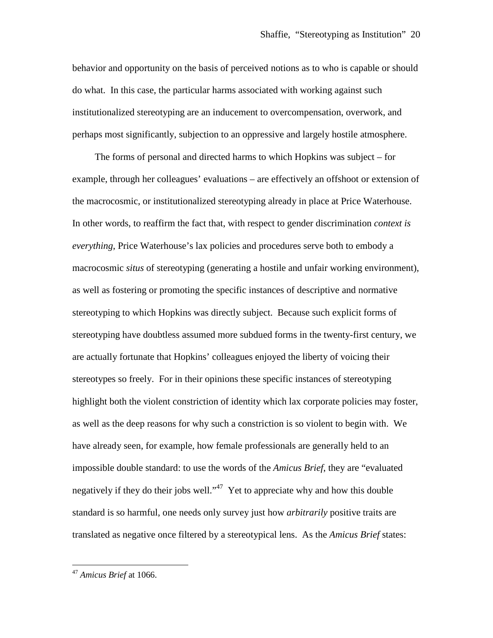behavior and opportunity on the basis of perceived notions as to who is capable or should do what. In this case, the particular harms associated with working against such institutionalized stereotyping are an inducement to overcompensation, overwork, and perhaps most significantly, subjection to an oppressive and largely hostile atmosphere.

The forms of personal and directed harms to which Hopkins was subject – for example, through her colleagues' evaluations – are effectively an offshoot or extension of the macrocosmic, or institutionalized stereotyping already in place at Price Waterhouse. In other words, to reaffirm the fact that, with respect to gender discrimination *context is everything*, Price Waterhouse's lax policies and procedures serve both to embody a macrocosmic *situs* of stereotyping (generating a hostile and unfair working environment), as well as fostering or promoting the specific instances of descriptive and normative stereotyping to which Hopkins was directly subject. Because such explicit forms of stereotyping have doubtless assumed more subdued forms in the twenty-first century, we are actually fortunate that Hopkins' colleagues enjoyed the liberty of voicing their stereotypes so freely. For in their opinions these specific instances of stereotyping highlight both the violent constriction of identity which lax corporate policies may foster, as well as the deep reasons for why such a constriction is so violent to begin with. We have already seen, for example, how female professionals are generally held to an impossible double standard: to use the words of the *Amicus Brief*, they are "evaluated negatively if they do their jobs well."<sup>[47](#page-19-0)</sup> Yet to appreciate why and how this double standard is so harmful, one needs only survey just how *arbitrarily* positive traits are translated as negative once filtered by a stereotypical lens. As the *Amicus Brief* states:

<span id="page-19-0"></span><sup>47</sup> *Amicus Brief* at 1066.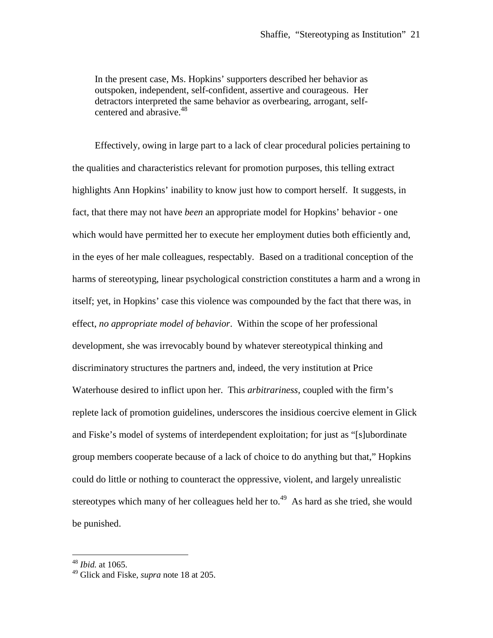In the present case, Ms. Hopkins' supporters described her behavior as outspoken, independent, self-confident, assertive and courageous. Her detractors interpreted the same behavior as overbearing, arrogant, self-centered and abrasive.<sup>[48](#page-20-0)</sup>

Effectively, owing in large part to a lack of clear procedural policies pertaining to the qualities and characteristics relevant for promotion purposes, this telling extract highlights Ann Hopkins' inability to know just how to comport herself. It suggests, in fact, that there may not have *been* an appropriate model for Hopkins' behavior - one which would have permitted her to execute her employment duties both efficiently and, in the eyes of her male colleagues, respectably. Based on a traditional conception of the harms of stereotyping, linear psychological constriction constitutes a harm and a wrong in itself; yet, in Hopkins' case this violence was compounded by the fact that there was, in effect, *no appropriate model of behavior*. Within the scope of her professional development, she was irrevocably bound by whatever stereotypical thinking and discriminatory structures the partners and, indeed, the very institution at Price Waterhouse desired to inflict upon her. This *arbitrariness,* coupled with the firm's replete lack of promotion guidelines, underscores the insidious coercive element in Glick and Fiske's model of systems of interdependent exploitation; for just as "[s]ubordinate group members cooperate because of a lack of choice to do anything but that," Hopkins could do little or nothing to counteract the oppressive, violent, and largely unrealistic stereotypeswhich many of her colleagues held her to[.](#page-20-1)<sup>49</sup> As hard as she tried, she would be punished.

<span id="page-20-1"></span><span id="page-20-0"></span><sup>48</sup> *Ibid.* at 1065.

<sup>49</sup> Glick and Fiske, *supra* note 18 at 205.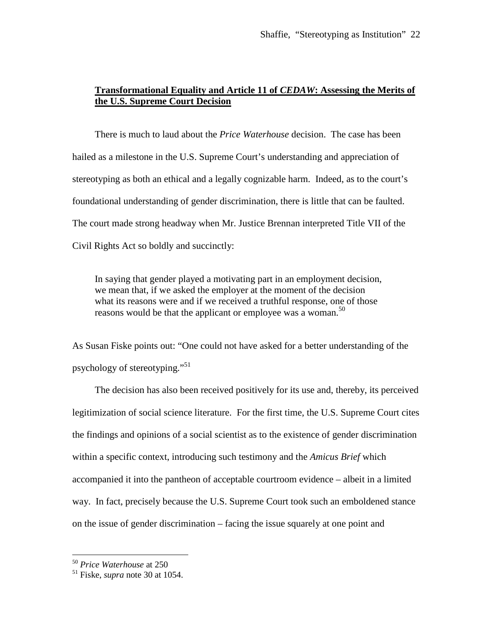## **Transformational Equality and Article 11 of** *CEDAW***: Assessing the Merits of the U.S. Supreme Court Decision**

There is much to laud about the *Price Waterhouse* decision. The case has been hailed as a milestone in the U.S. Supreme Court's understanding and appreciation of stereotyping as both an ethical and a legally cognizable harm. Indeed, as to the court's foundational understanding of gender discrimination, there is little that can be faulted. The court made strong headway when Mr. Justice Brennan interpreted Title VII of the Civil Rights Act so boldly and succinctly:

In saying that gender played a motivating part in an employment decision, we mean that, if we asked the employer at the moment of the decision what its reasons were and if we received a truthful response, one of those reasons would be that the applicant or employee was a woman.<sup>[50](#page-21-0)</sup>

As Susan Fiske points out: "One could not have asked for a better understanding of the psychology of stereotyping."[51](#page-21-1)

The decision has also been received positively for its use and, thereby, its perceived legitimization of social science literature. For the first time, the U.S. Supreme Court cites the findings and opinions of a social scientist as to the existence of gender discrimination within a specific context, introducing such testimony and the *Amicus Brief* which accompanied it into the pantheon of acceptable courtroom evidence – albeit in a limited way. In fact, precisely because the U.S. Supreme Court took such an emboldened stance on the issue of gender discrimination – facing the issue squarely at one point and

<span id="page-21-1"></span><span id="page-21-0"></span><sup>50</sup> *Price Waterhouse* at 250

<sup>51</sup> Fiske, *supra* note 30 at 1054.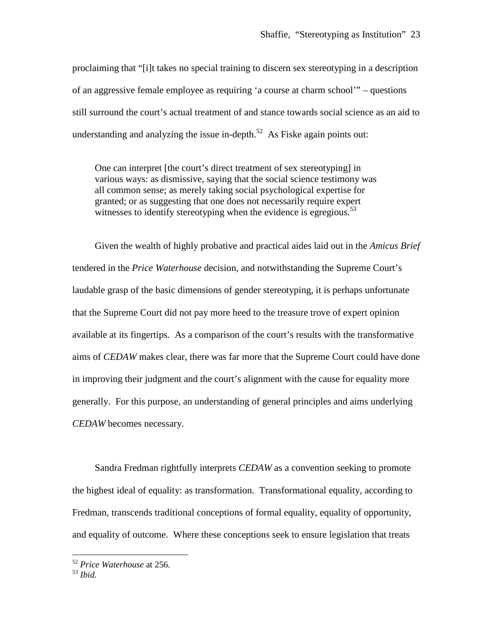proclaiming that "[i]t takes no special training to discern sex stereotyping in a description of an aggressive female employee as requiring 'a course at charm school'" – questions still surround the court's actual treatment of and stance towards social science as an aid to understanding and analyzing the issue in-depth. $52$  As Fiske again points out:

One can interpret [the court's direct treatment of sex stereotyping] in various ways: as dismissive, saying that the social science testimony was all common sense; as merely taking social psychological expertise for granted; or as suggesting that one does not necessarily require expert witnesses to identify stereotyping when the evidence is egregious.<sup>[53](#page-22-1)</sup>

Given the wealth of highly probative and practical aides laid out in the *Amicus Brief* tendered in the *Price Waterhouse* decision, and notwithstanding the Supreme Court's laudable grasp of the basic dimensions of gender stereotyping, it is perhaps unfortunate that the Supreme Court did not pay more heed to the treasure trove of expert opinion available at its fingertips. As a comparison of the court's results with the transformative aims of *CEDAW* makes clear, there was far more that the Supreme Court could have done in improving their judgment and the court's alignment with the cause for equality more generally. For this purpose, an understanding of general principles and aims underlying *CEDAW* becomes necessary.

Sandra Fredman rightfully interprets *CEDAW* as a convention seeking to promote the highest ideal of equality: as transformation. Transformational equality, according to Fredman, transcends traditional conceptions of formal equality, equality of opportunity, and equality of outcome. Where these conceptions seek to ensure legislation that treats

<span id="page-22-0"></span><sup>52</sup> *Price Waterhouse* at 256.

<span id="page-22-1"></span><sup>53</sup> *Ibid.*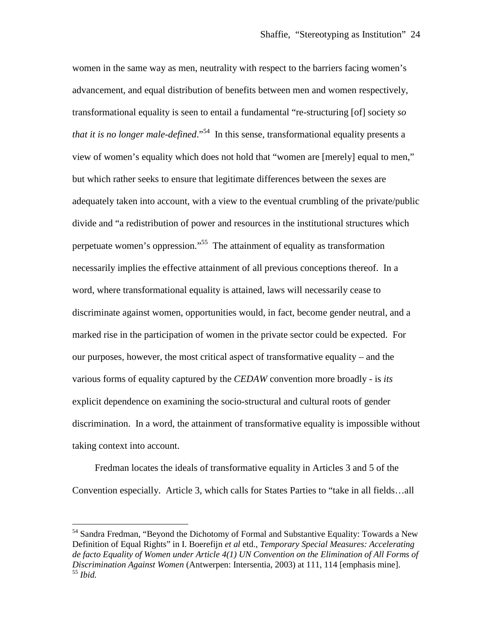women in the same way as men, neutrality with respect to the barriers facing women's advancement, and equal distribution of benefits between men and women respectively, transformational equality is seen to entail a fundamental "re-structuring [of] society *so that it is no longer male-defined.*"<sup>[54](#page-23-0)</sup> In this sense, transformational equality presents a view of women's equality which does not hold that "women are [merely] equal to men," but which rather seeks to ensure that legitimate differences between the sexes are adequately taken into account, with a view to the eventual crumbling of the private/public divide and "a redistribution of power and resources in the institutional structures which perpetuate women's oppression."[55](#page-23-1) The attainment of equality as transformation necessarily implies the effective attainment of all previous conceptions thereof. In a word, where transformational equality is attained, laws will necessarily cease to discriminate against women, opportunities would, in fact, become gender neutral, and a marked rise in the participation of women in the private sector could be expected. For our purposes, however, the most critical aspect of transformative equality – and the various forms of equality captured by the *CEDAW* convention more broadly - is *its* explicit dependence on examining the socio-structural and cultural roots of gender discrimination. In a word, the attainment of transformative equality is impossible without taking context into account.

Fredman locates the ideals of transformative equality in Articles 3 and 5 of the Convention especially. Article 3, which calls for States Parties to "take in all fields…all

<span id="page-23-1"></span><span id="page-23-0"></span><sup>&</sup>lt;sup>54</sup> Sandra Fredman, "Beyond the Dichotomy of Formal and Substantive Equality: Towards a New Definition of Equal Rights" in I. Boerefijn *et al* etd., *Temporary Special Measures: Accelerating de facto Equality of Women under Article 4(1) UN Convention on the Elimination of All Forms of Discrimination Against Women* (Antwerpen: Intersentia, 2003) at 111, 114 [emphasis mine]. <sup>55</sup> *Ibid.*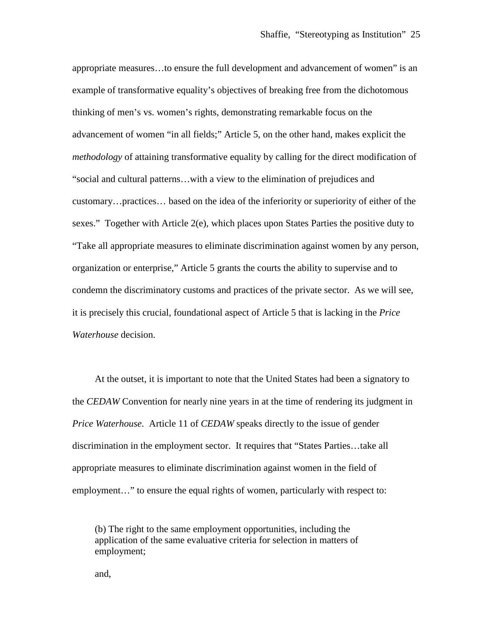appropriate measures…to ensure the full development and advancement of women" is an example of transformative equality's objectives of breaking free from the dichotomous thinking of men's vs. women's rights, demonstrating remarkable focus on the advancement of women "in all fields;" Article 5, on the other hand, makes explicit the *methodology* of attaining transformative equality by calling for the direct modification of "social and cultural patterns…with a view to the elimination of prejudices and customary…practices… based on the idea of the inferiority or superiority of either of the sexes." Together with Article 2(e), which places upon States Parties the positive duty to "Take all appropriate measures to eliminate discrimination against women by any person, organization or enterprise," Article 5 grants the courts the ability to supervise and to condemn the discriminatory customs and practices of the private sector. As we will see, it is precisely this crucial, foundational aspect of Article 5 that is lacking in the *Price Waterhouse* decision.

At the outset, it is important to note that the United States had been a signatory to the *CEDAW* Convention for nearly nine years in at the time of rendering its judgment in *Price Waterhouse*. Article 11 of *CEDAW* speaks directly to the issue of gender discrimination in the employment sector. It requires that "States Parties…take all appropriate measures to eliminate discrimination against women in the field of employment..." to ensure the equal rights of women, particularly with respect to:

(b) The right to the same employment opportunities, including the application of the same evaluative criteria for selection in matters of employment;

and,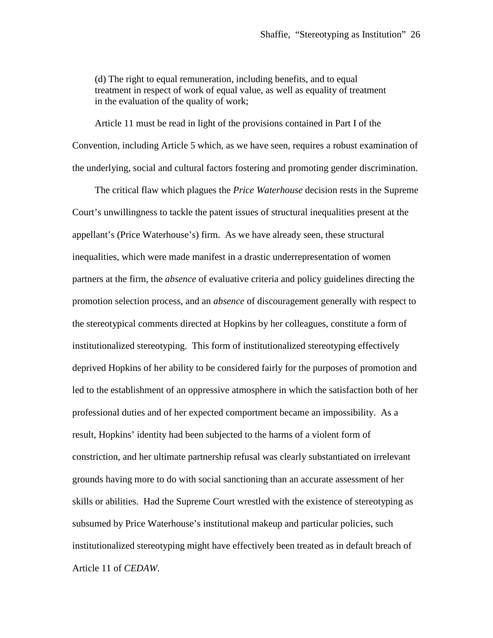(d) The right to equal remuneration, including benefits, and to equal treatment in respect of work of equal value, as well as equality of treatment in the evaluation of the quality of work;

Article 11 must be read in light of the provisions contained in Part I of the Convention, including Article 5 which, as we have seen, requires a robust examination of the underlying, social and cultural factors fostering and promoting gender discrimination.

The critical flaw which plagues the *Price Waterhouse* decision rests in the Supreme Court's unwillingness to tackle the patent issues of structural inequalities present at the appellant's (Price Waterhouse's) firm. As we have already seen, these structural inequalities, which were made manifest in a drastic underrepresentation of women partners at the firm, the *absence* of evaluative criteria and policy guidelines directing the promotion selection process, and an *absence* of discouragement generally with respect to the stereotypical comments directed at Hopkins by her colleagues, constitute a form of institutionalized stereotyping. This form of institutionalized stereotyping effectively deprived Hopkins of her ability to be considered fairly for the purposes of promotion and led to the establishment of an oppressive atmosphere in which the satisfaction both of her professional duties and of her expected comportment became an impossibility. As a result, Hopkins' identity had been subjected to the harms of a violent form of constriction, and her ultimate partnership refusal was clearly substantiated on irrelevant grounds having more to do with social sanctioning than an accurate assessment of her skills or abilities. Had the Supreme Court wrestled with the existence of stereotyping as subsumed by Price Waterhouse's institutional makeup and particular policies, such institutionalized stereotyping might have effectively been treated as in default breach of Article 11 of *CEDAW*.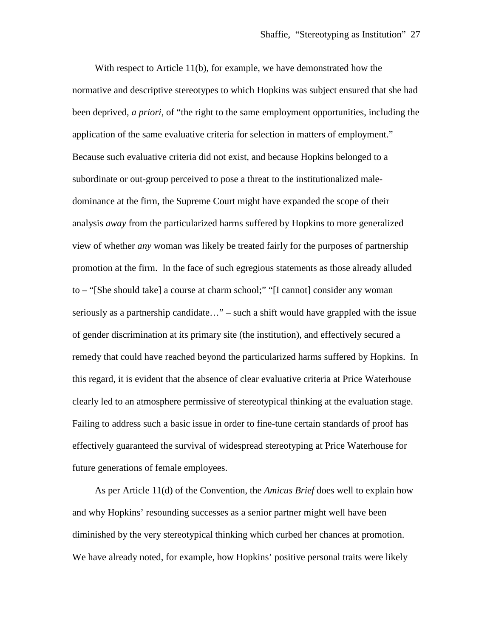With respect to Article 11(b), for example, we have demonstrated how the normative and descriptive stereotypes to which Hopkins was subject ensured that she had been deprived, *a priori*, of "the right to the same employment opportunities, including the application of the same evaluative criteria for selection in matters of employment." Because such evaluative criteria did not exist, and because Hopkins belonged to a subordinate or out-group perceived to pose a threat to the institutionalized maledominance at the firm, the Supreme Court might have expanded the scope of their analysis *away* from the particularized harms suffered by Hopkins to more generalized view of whether *any* woman was likely be treated fairly for the purposes of partnership promotion at the firm. In the face of such egregious statements as those already alluded to – "[She should take] a course at charm school;" "[I cannot] consider any woman seriously as a partnership candidate…" – such a shift would have grappled with the issue of gender discrimination at its primary site (the institution), and effectively secured a remedy that could have reached beyond the particularized harms suffered by Hopkins. In this regard, it is evident that the absence of clear evaluative criteria at Price Waterhouse clearly led to an atmosphere permissive of stereotypical thinking at the evaluation stage. Failing to address such a basic issue in order to fine-tune certain standards of proof has effectively guaranteed the survival of widespread stereotyping at Price Waterhouse for future generations of female employees.

As per Article 11(d) of the Convention, the *Amicus Brief* does well to explain how and why Hopkins' resounding successes as a senior partner might well have been diminished by the very stereotypical thinking which curbed her chances at promotion. We have already noted, for example, how Hopkins' positive personal traits were likely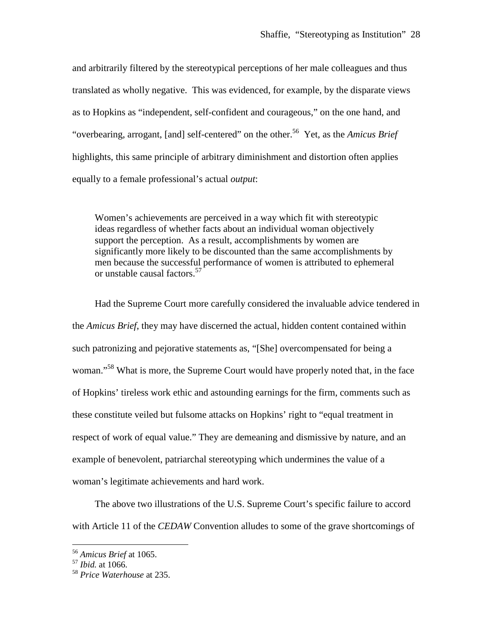and arbitrarily filtered by the stereotypical perceptions of her male colleagues and thus translated as wholly negative. This was evidenced, for example, by the disparate views as to Hopkins as "independent, self-confident and courageous," on the one hand, and "overbearing, arrogant, [and] self-centered" on the other.<sup>[56](#page-27-0)</sup> Yet, as the *Amicus Brief* highlights, this same principle of arbitrary diminishment and distortion often applies equally to a female professional's actual *output*:

Women's achievements are perceived in a way which fit with stereotypic ideas regardless of whether facts about an individual woman objectively support the perception. As a result, accomplishments by women are significantly more likely to be discounted than the same accomplishments by men because the successful performance of women is attributed to ephemeral or unstable causal factors.<sup>[57](#page-27-1)</sup>

Had the Supreme Court more carefully considered the invaluable advice tendered in the *Amicus Brief*, they may have discerned the actual, hidden content contained within such patronizing and pejorative statements as, "[She] overcompensated for being a woman."<sup>[58](#page-27-2)</sup> What is more, the Supreme Court would have properly noted that, in the face of Hopkins' tireless work ethic and astounding earnings for the firm, comments such as these constitute veiled but fulsome attacks on Hopkins' right to "equal treatment in respect of work of equal value." They are demeaning and dismissive by nature, and an example of benevolent, patriarchal stereotyping which undermines the value of a woman's legitimate achievements and hard work.

The above two illustrations of the U.S. Supreme Court's specific failure to accord with Article 11 of the *CEDAW* Convention alludes to some of the grave shortcomings of

<span id="page-27-0"></span><sup>56</sup> *Amicus Brief* at 1065.

<span id="page-27-1"></span><sup>57</sup> *Ibid.* at 1066.

<span id="page-27-2"></span><sup>58</sup> *Price Waterhouse* at 235.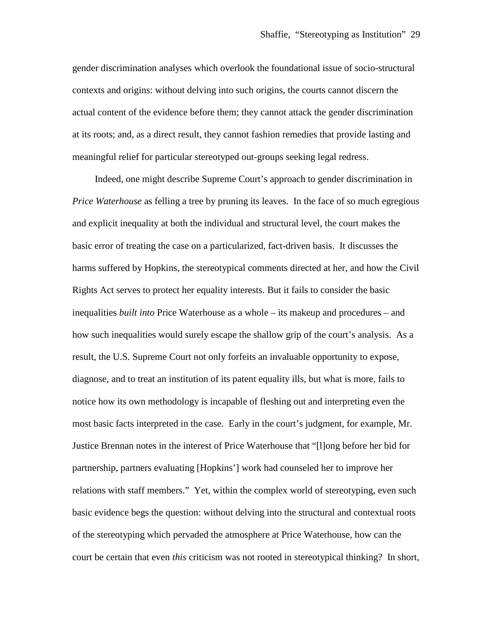gender discrimination analyses which overlook the foundational issue of socio-structural contexts and origins: without delving into such origins, the courts cannot discern the actual content of the evidence before them; they cannot attack the gender discrimination at its roots; and, as a direct result, they cannot fashion remedies that provide lasting and meaningful relief for particular stereotyped out-groups seeking legal redress.

Indeed, one might describe Supreme Court's approach to gender discrimination in *Price Waterhouse* as felling a tree by pruning its leaves. In the face of so much egregious and explicit inequality at both the individual and structural level, the court makes the basic error of treating the case on a particularized, fact-driven basis. It discusses the harms suffered by Hopkins, the stereotypical comments directed at her, and how the Civil Rights Act serves to protect her equality interests. But it fails to consider the basic inequalities *built into* Price Waterhouse as a whole – its makeup and procedures – and how such inequalities would surely escape the shallow grip of the court's analysis. As a result, the U.S. Supreme Court not only forfeits an invaluable opportunity to expose, diagnose, and to treat an institution of its patent equality ills, but what is more, fails to notice how its own methodology is incapable of fleshing out and interpreting even the most basic facts interpreted in the case. Early in the court's judgment, for example, Mr. Justice Brennan notes in the interest of Price Waterhouse that "[l]ong before her bid for partnership, partners evaluating [Hopkins'] work had counseled her to improve her relations with staff members." Yet, within the complex world of stereotyping, even such basic evidence begs the question: without delving into the structural and contextual roots of the stereotyping which pervaded the atmosphere at Price Waterhouse, how can the court be certain that even *this* criticism was not rooted in stereotypical thinking? In short,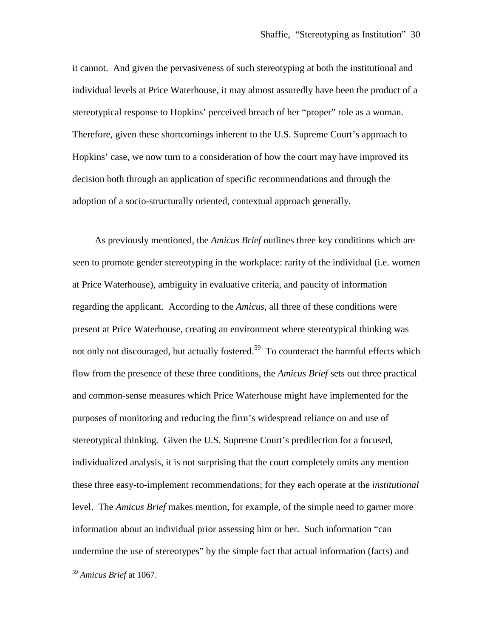it cannot. And given the pervasiveness of such stereotyping at both the institutional and individual levels at Price Waterhouse, it may almost assuredly have been the product of a stereotypical response to Hopkins' perceived breach of her "proper" role as a woman. Therefore, given these shortcomings inherent to the U.S. Supreme Court's approach to Hopkins' case, we now turn to a consideration of how the court may have improved its decision both through an application of specific recommendations and through the adoption of a socio-structurally oriented, contextual approach generally.

As previously mentioned, the *Amicus Brief* outlines three key conditions which are seen to promote gender stereotyping in the workplace: rarity of the individual (i.e. women at Price Waterhouse), ambiguity in evaluative criteria, and paucity of information regarding the applicant. According to the *Amicus*, all three of these conditions were present at Price Waterhouse, creating an environment where stereotypical thinking was not only not discouraged, but actually fostered.<sup>[59](#page-29-0)</sup> To counteract the harmful effects which flow from the presence of these three conditions, the *Amicus Brief* sets out three practical and common-sense measures which Price Waterhouse might have implemented for the purposes of monitoring and reducing the firm's widespread reliance on and use of stereotypical thinking. Given the U.S. Supreme Court's predilection for a focused, individualized analysis, it is not surprising that the court completely omits any mention these three easy-to-implement recommendations; for they each operate at the *institutional* level. The *Amicus Brief* makes mention, for example, of the simple need to garner more information about an individual prior assessing him or her. Such information "can undermine the use of stereotypes" by the simple fact that actual information (facts) and

<span id="page-29-0"></span><sup>59</sup> *Amicus Brief* at 1067.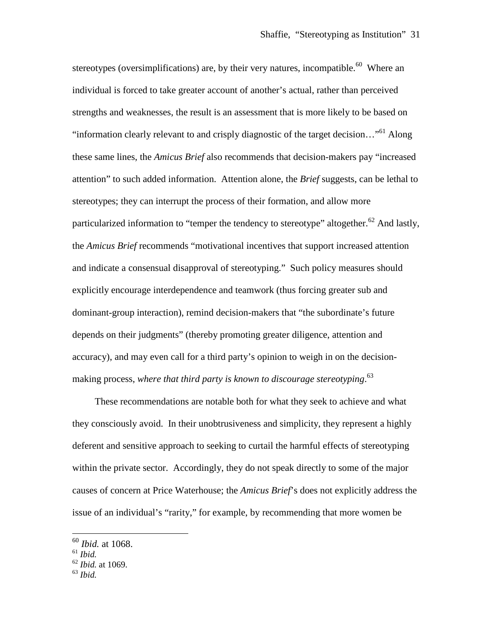stereotypes (oversimplifications) are, by their very natures, incompatible.<sup>[60](#page-30-0)</sup> Where an individual is forced to take greater account of another's actual, rather than perceived strengths and weaknesses, the result is an assessment that is more likely to be based on "information clearly relevant to and crisply diagnostic of the target decision..."<sup>[61](#page-30-1)</sup> Along these same lines, the *Amicus Brief* also recommends that decision-makers pay "increased attention" to such added information. Attention alone, the *Brief* suggests, can be lethal to stereotypes; they can interrupt the process of their formation, and allow more particularized information to "temper the tendency to stereotype" altogether.<sup>[62](#page-30-2)</sup> And lastly, the *Amicus Brief* recommends "motivational incentives that support increased attention and indicate a consensual disapproval of stereotyping." Such policy measures should explicitly encourage interdependence and teamwork (thus forcing greater sub and dominant-group interaction), remind decision-makers that "the subordinate's future depends on their judgments" (thereby promoting greater diligence, attention and accuracy), and may even call for a third party's opinion to weigh in on the decisionmaking process, *where that third party is known to discourage stereotyping*. [63](#page-30-3)

These recommendations are notable both for what they seek to achieve and what they consciously avoid. In their unobtrusiveness and simplicity, they represent a highly deferent and sensitive approach to seeking to curtail the harmful effects of stereotyping within the private sector. Accordingly, they do not speak directly to some of the major causes of concern at Price Waterhouse; the *Amicus Brief*'s does not explicitly address the issue of an individual's "rarity," for example, by recommending that more women be

<span id="page-30-0"></span><sup>60</sup> *Ibid.* at 1068.

<span id="page-30-1"></span><sup>61</sup> *Ibid.*

<span id="page-30-2"></span><sup>62</sup> *Ibid.* at 1069.

<span id="page-30-3"></span><sup>63</sup> *Ibid.*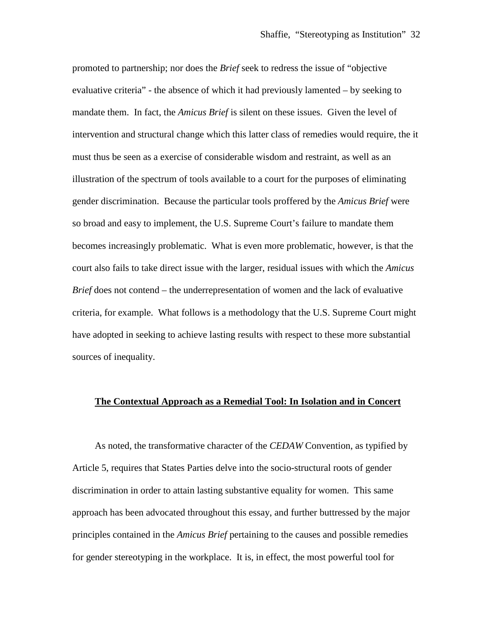promoted to partnership; nor does the *Brief* seek to redress the issue of "objective evaluative criteria" - the absence of which it had previously lamented – by seeking to mandate them. In fact, the *Amicus Brief* is silent on these issues. Given the level of intervention and structural change which this latter class of remedies would require, the it must thus be seen as a exercise of considerable wisdom and restraint, as well as an illustration of the spectrum of tools available to a court for the purposes of eliminating gender discrimination. Because the particular tools proffered by the *Amicus Brief* were so broad and easy to implement, the U.S. Supreme Court's failure to mandate them becomes increasingly problematic. What is even more problematic, however, is that the court also fails to take direct issue with the larger, residual issues with which the *Amicus Brief* does not contend – the underrepresentation of women and the lack of evaluative criteria, for example. What follows is a methodology that the U.S. Supreme Court might have adopted in seeking to achieve lasting results with respect to these more substantial sources of inequality.

#### **The Contextual Approach as a Remedial Tool: In Isolation and in Concert**

As noted, the transformative character of the *CEDAW* Convention, as typified by Article 5, requires that States Parties delve into the socio-structural roots of gender discrimination in order to attain lasting substantive equality for women. This same approach has been advocated throughout this essay, and further buttressed by the major principles contained in the *Amicus Brief* pertaining to the causes and possible remedies for gender stereotyping in the workplace. It is, in effect, the most powerful tool for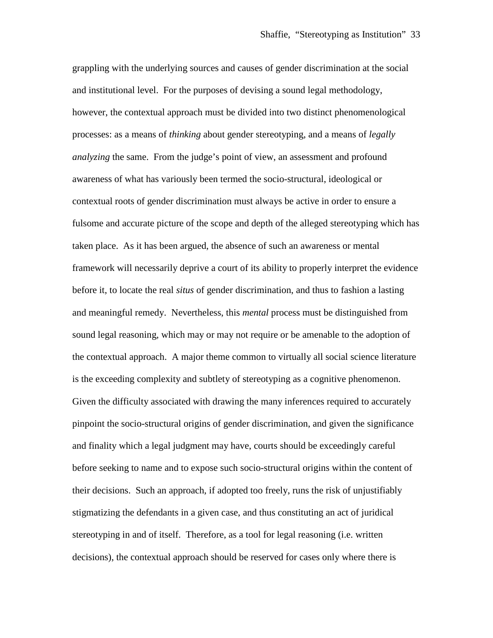grappling with the underlying sources and causes of gender discrimination at the social and institutional level. For the purposes of devising a sound legal methodology, however, the contextual approach must be divided into two distinct phenomenological processes: as a means of *thinking* about gender stereotyping, and a means of *legally analyzing* the same. From the judge's point of view, an assessment and profound awareness of what has variously been termed the socio-structural, ideological or contextual roots of gender discrimination must always be active in order to ensure a fulsome and accurate picture of the scope and depth of the alleged stereotyping which has taken place. As it has been argued, the absence of such an awareness or mental framework will necessarily deprive a court of its ability to properly interpret the evidence before it, to locate the real *situs* of gender discrimination, and thus to fashion a lasting and meaningful remedy. Nevertheless, this *mental* process must be distinguished from sound legal reasoning, which may or may not require or be amenable to the adoption of the contextual approach. A major theme common to virtually all social science literature is the exceeding complexity and subtlety of stereotyping as a cognitive phenomenon. Given the difficulty associated with drawing the many inferences required to accurately pinpoint the socio-structural origins of gender discrimination, and given the significance and finality which a legal judgment may have, courts should be exceedingly careful before seeking to name and to expose such socio-structural origins within the content of their decisions. Such an approach, if adopted too freely, runs the risk of unjustifiably stigmatizing the defendants in a given case, and thus constituting an act of juridical stereotyping in and of itself. Therefore, as a tool for legal reasoning (i.e. written decisions), the contextual approach should be reserved for cases only where there is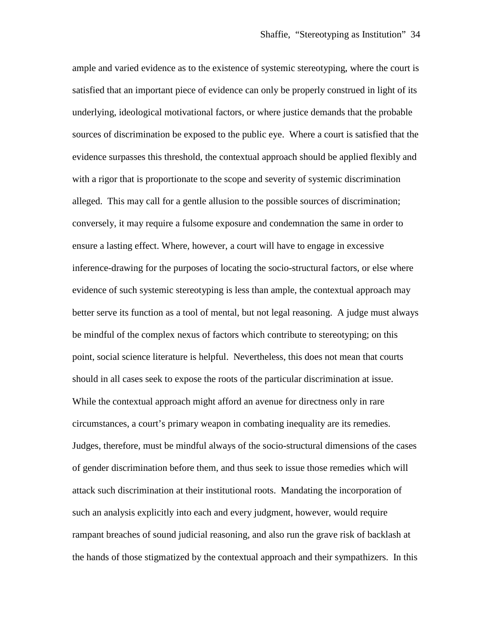ample and varied evidence as to the existence of systemic stereotyping, where the court is satisfied that an important piece of evidence can only be properly construed in light of its underlying, ideological motivational factors, or where justice demands that the probable sources of discrimination be exposed to the public eye. Where a court is satisfied that the evidence surpasses this threshold, the contextual approach should be applied flexibly and with a rigor that is proportionate to the scope and severity of systemic discrimination alleged. This may call for a gentle allusion to the possible sources of discrimination; conversely, it may require a fulsome exposure and condemnation the same in order to ensure a lasting effect. Where, however, a court will have to engage in excessive inference-drawing for the purposes of locating the socio-structural factors, or else where evidence of such systemic stereotyping is less than ample, the contextual approach may better serve its function as a tool of mental, but not legal reasoning. A judge must always be mindful of the complex nexus of factors which contribute to stereotyping; on this point, social science literature is helpful. Nevertheless, this does not mean that courts should in all cases seek to expose the roots of the particular discrimination at issue. While the contextual approach might afford an avenue for directness only in rare circumstances, a court's primary weapon in combating inequality are its remedies. Judges, therefore, must be mindful always of the socio-structural dimensions of the cases of gender discrimination before them, and thus seek to issue those remedies which will attack such discrimination at their institutional roots. Mandating the incorporation of such an analysis explicitly into each and every judgment, however, would require rampant breaches of sound judicial reasoning, and also run the grave risk of backlash at the hands of those stigmatized by the contextual approach and their sympathizers. In this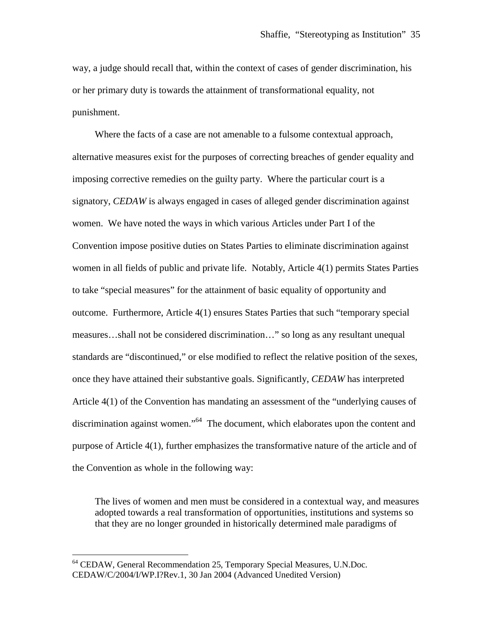way, a judge should recall that, within the context of cases of gender discrimination, his or her primary duty is towards the attainment of transformational equality, not punishment.

Where the facts of a case are not amenable to a fulsome contextual approach, alternative measures exist for the purposes of correcting breaches of gender equality and imposing corrective remedies on the guilty party. Where the particular court is a signatory, *CEDAW* is always engaged in cases of alleged gender discrimination against women. We have noted the ways in which various Articles under Part I of the Convention impose positive duties on States Parties to eliminate discrimination against women in all fields of public and private life. Notably, Article 4(1) permits States Parties to take "special measures" for the attainment of basic equality of opportunity and outcome. Furthermore, Article 4(1) ensures States Parties that such "temporary special measures…shall not be considered discrimination…" so long as any resultant unequal standards are "discontinued," or else modified to reflect the relative position of the sexes, once they have attained their substantive goals. Significantly, *CEDAW* has interpreted Article 4(1) of the Convention has mandating an assessment of the "underlying causes of discrimination against women."<sup>[64](#page-34-0)</sup> The document, which elaborates upon the content and purpose of Article 4(1), further emphasizes the transformative nature of the article and of the Convention as whole in the following way:

The lives of women and men must be considered in a contextual way, and measures adopted towards a real transformation of opportunities, institutions and systems so that they are no longer grounded in historically determined male paradigms of

<span id="page-34-0"></span><sup>64</sup> CEDAW, General Recommendation 25, Temporary Special Measures, U.N.Doc. CEDAW/C/2004/I/WP.I?Rev.1, 30 Jan 2004 (Advanced Unedited Version)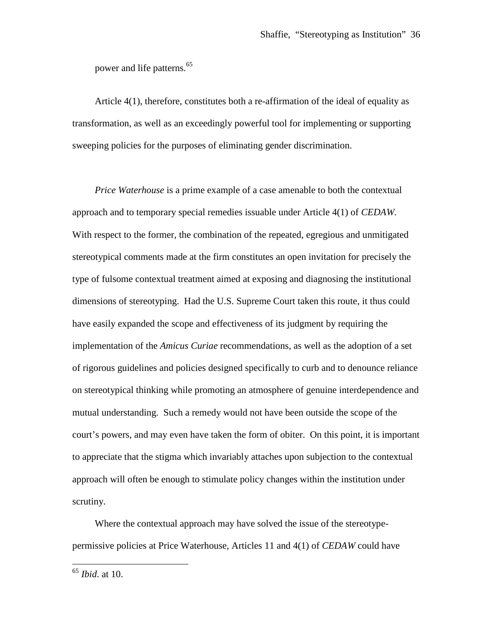power and life patterns.<sup>[65](#page-35-0)</sup>

Article 4(1), therefore, constitutes both a re-affirmation of the ideal of equality as transformation, as well as an exceedingly powerful tool for implementing or supporting sweeping policies for the purposes of eliminating gender discrimination.

*Price Waterhouse* is a prime example of a case amenable to both the contextual approach and to temporary special remedies issuable under Article 4(1) of *CEDAW*. With respect to the former, the combination of the repeated, egregious and unmitigated stereotypical comments made at the firm constitutes an open invitation for precisely the type of fulsome contextual treatment aimed at exposing and diagnosing the institutional dimensions of stereotyping. Had the U.S. Supreme Court taken this route, it thus could have easily expanded the scope and effectiveness of its judgment by requiring the implementation of the *Amicus Curiae* recommendations, as well as the adoption of a set of rigorous guidelines and policies designed specifically to curb and to denounce reliance on stereotypical thinking while promoting an atmosphere of genuine interdependence and mutual understanding. Such a remedy would not have been outside the scope of the court's powers, and may even have taken the form of obiter. On this point, it is important to appreciate that the stigma which invariably attaches upon subjection to the contextual approach will often be enough to stimulate policy changes within the institution under scrutiny.

Where the contextual approach may have solved the issue of the stereotypepermissive policies at Price Waterhouse, Articles 11 and 4(1) of *CEDAW* could have

<span id="page-35-0"></span><sup>65</sup> *Ibid*. at 10.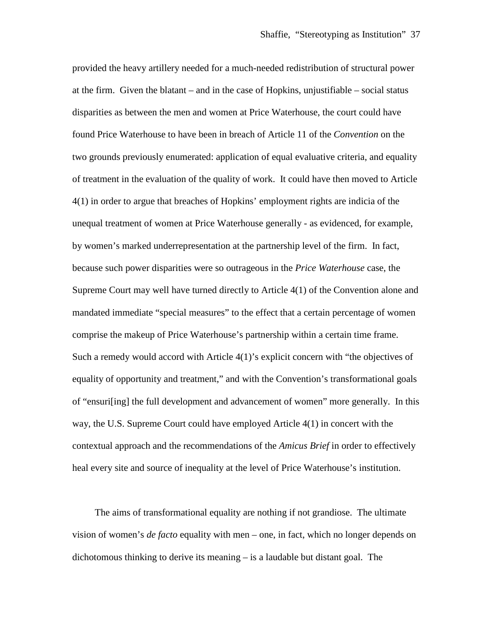provided the heavy artillery needed for a much-needed redistribution of structural power at the firm. Given the blatant – and in the case of Hopkins, unjustifiable – social status disparities as between the men and women at Price Waterhouse, the court could have found Price Waterhouse to have been in breach of Article 11 of the *Convention* on the two grounds previously enumerated: application of equal evaluative criteria, and equality of treatment in the evaluation of the quality of work. It could have then moved to Article 4(1) in order to argue that breaches of Hopkins' employment rights are indicia of the unequal treatment of women at Price Waterhouse generally - as evidenced, for example, by women's marked underrepresentation at the partnership level of the firm. In fact, because such power disparities were so outrageous in the *Price Waterhouse* case, the Supreme Court may well have turned directly to Article 4(1) of the Convention alone and mandated immediate "special measures" to the effect that a certain percentage of women comprise the makeup of Price Waterhouse's partnership within a certain time frame. Such a remedy would accord with Article 4(1)'s explicit concern with "the objectives of equality of opportunity and treatment," and with the Convention's transformational goals of "ensuri[ing] the full development and advancement of women" more generally. In this way, the U.S. Supreme Court could have employed Article 4(1) in concert with the contextual approach and the recommendations of the *Amicus Brief* in order to effectively heal every site and source of inequality at the level of Price Waterhouse's institution.

The aims of transformational equality are nothing if not grandiose. The ultimate vision of women's *de facto* equality with men – one, in fact, which no longer depends on dichotomous thinking to derive its meaning – is a laudable but distant goal. The